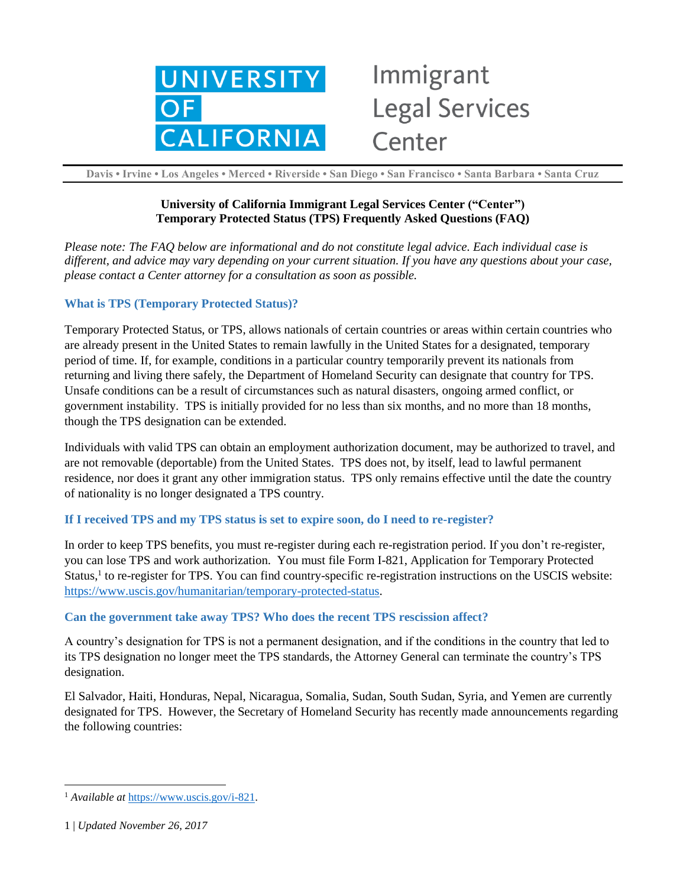

# Immigrant **Legal Services** Center

**Davis • Irvine • Los Angeles • Merced • Riverside • San Diego • San Francisco • Santa Barbara • Santa Cruz**

## **University of California Immigrant Legal Services Center ("Center") Temporary Protected Status (TPS) Frequently Asked Questions (FAQ)**

*Please note: The FAQ below are informational and do not constitute legal advice. Each individual case is different, and advice may vary depending on your current situation. If you have any questions about your case, please contact a Center attorney for a consultation as soon as possible.*

#### **What is TPS (Temporary Protected Status)?**

Temporary Protected Status, or TPS, allows nationals of certain countries or areas within certain countries who are already present in the United States to remain lawfully in the United States for a designated, temporary period of time. If, for example, conditions in a particular country temporarily prevent its nationals from returning and living there safely, the Department of Homeland Security can designate that country for TPS. Unsafe conditions can be a result of circumstances such as natural disasters, ongoing armed conflict, or government instability. TPS is initially provided for no less than six months, and no more than 18 months, though the TPS designation can be extended.

Individuals with valid TPS can obtain an employment authorization document, may be authorized to travel, and are not removable (deportable) from the United States. TPS does not, by itself, lead to lawful permanent residence, nor does it grant any other immigration status. TPS only remains effective until the date the country of nationality is no longer designated a TPS country.

#### **If I received TPS and my TPS status is set to expire soon, do I need to re-register?**

In order to keep TPS benefits, you must re-register during each re-registration period. If you don't re-register, you can lose TPS and work authorization. You must file Form I-821, Application for Temporary Protected Status,<sup>1</sup> to re-register for TPS. You can find country-specific re-registration instructions on the USCIS website: [https://www.uscis.gov/humanitarian/temporary-protected-status.](https://www.uscis.gov/humanitarian/temporary-protected-status)

#### **Can the government take away TPS? Who does the recent TPS rescission affect?**

A country's designation for TPS is not a permanent designation, and if the conditions in the country that led to its TPS designation no longer meet the TPS standards, the Attorney General can terminate the country's TPS designation.

El Salvador, Haiti, Honduras, Nepal, Nicaragua, Somalia, Sudan, South Sudan, Syria, and Yemen are currently designated for TPS. However, the Secretary of Homeland Security has recently made announcements regarding the following countries:

 $\overline{a}$ <sup>1</sup> *Available at* [https://www.uscis.gov/i-821.](https://www.uscis.gov/i-821)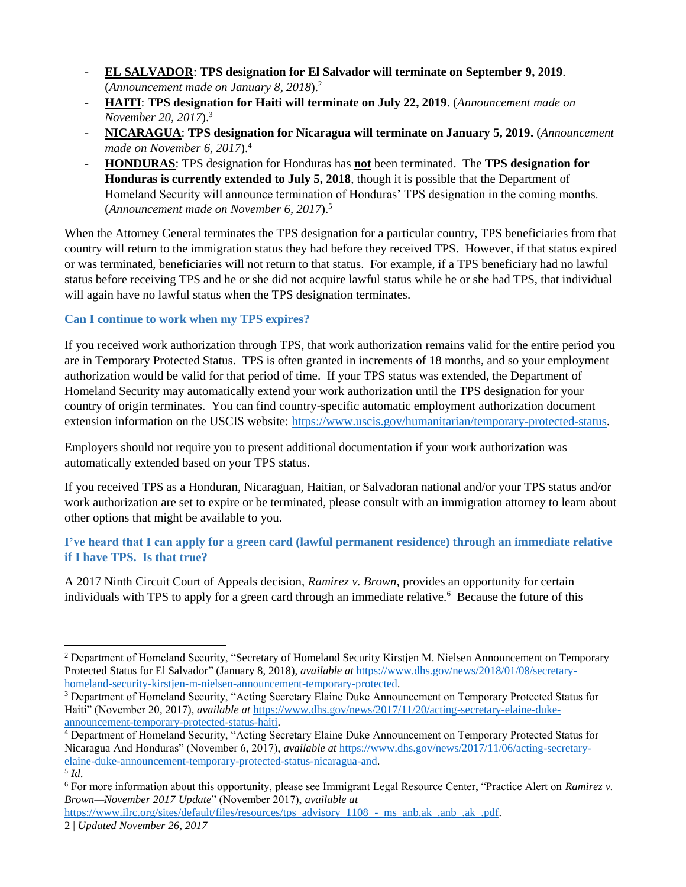- **EL SALVADOR**: **TPS designation for El Salvador will terminate on September 9, 2019**. (*Announcement made on January 8, 2018*).<sup>2</sup>
- **HAITI**: **TPS designation for Haiti will terminate on July 22, 2019**. (*Announcement made on November 20, 2017*).<sup>3</sup>
- **NICARAGUA**: **TPS designation for Nicaragua will terminate on January 5, 2019.** (*Announcement made on November 6, 2017*). 4
- **HONDURAS**: TPS designation for Honduras has **not** been terminated. The **TPS designation for Honduras is currently extended to July 5, 2018**, though it is possible that the Department of Homeland Security will announce termination of Honduras' TPS designation in the coming months. (*Announcement made on November 6, 2017*).<sup>5</sup>

When the Attorney General terminates the TPS designation for a particular country, TPS beneficiaries from that country will return to the immigration status they had before they received TPS. However, if that status expired or was terminated, beneficiaries will not return to that status. For example, if a TPS beneficiary had no lawful status before receiving TPS and he or she did not acquire lawful status while he or she had TPS, that individual will again have no lawful status when the TPS designation terminates.

#### **Can I continue to work when my TPS expires?**

If you received work authorization through TPS, that work authorization remains valid for the entire period you are in Temporary Protected Status. TPS is often granted in increments of 18 months, and so your employment authorization would be valid for that period of time. If your TPS status was extended, the Department of Homeland Security may automatically extend your work authorization until the TPS designation for your country of origin terminates. You can find country-specific automatic employment authorization document extension information on the USCIS website: [https://www.uscis.gov/humanitarian/temporary-protected-status.](https://www.uscis.gov/humanitarian/temporary-protected-status)

Employers should not require you to present additional documentation if your work authorization was automatically extended based on your TPS status.

If you received TPS as a Honduran, Nicaraguan, Haitian, or Salvadoran national and/or your TPS status and/or work authorization are set to expire or be terminated, please consult with an immigration attorney to learn about other options that might be available to you.

### **I've heard that I can apply for a green card (lawful permanent residence) through an immediate relative if I have TPS. Is that true?**

A 2017 Ninth Circuit Court of Appeals decision, *Ramirez v. Brown*, provides an opportunity for certain individuals with TPS to apply for a green card through an immediate relative.<sup>6</sup> Because the future of this

 $\overline{a}$ 

<sup>&</sup>lt;sup>2</sup> Department of Homeland Security, "Secretary of Homeland Security Kirstjen M. Nielsen Announcement on Temporary Protected Status for El Salvador" (January 8, 2018), *available at* [https://www.dhs.gov/news/2018/01/08/secretary](https://www.dhs.gov/news/2018/01/08/secretary-homeland-security-kirstjen-m-nielsen-announcement-temporary-protected)[homeland-security-kirstjen-m-nielsen-announcement-temporary-protected.](https://www.dhs.gov/news/2018/01/08/secretary-homeland-security-kirstjen-m-nielsen-announcement-temporary-protected)

<sup>&</sup>lt;sup>3</sup> Department of Homeland Security, "Acting Secretary Elaine Duke Announcement on Temporary Protected Status for Haiti" (November 20, 2017), *available at* [https://www.dhs.gov/news/2017/11/20/acting-secretary-elaine-duke](https://www.dhs.gov/news/2017/11/20/acting-secretary-elaine-duke-announcement-temporary-protected-status-haiti)[announcement-temporary-protected-status-haiti.](https://www.dhs.gov/news/2017/11/20/acting-secretary-elaine-duke-announcement-temporary-protected-status-haiti)

<sup>4</sup> Department of Homeland Security, "Acting Secretary Elaine Duke Announcement on Temporary Protected Status for Nicaragua And Honduras" (November 6, 2017), *available at* [https://www.dhs.gov/news/2017/11/06/acting-secretary](https://www.dhs.gov/news/2017/11/06/acting-secretary-elaine-duke-announcement-temporary-protected-status-nicaragua-and)[elaine-duke-announcement-temporary-protected-status-nicaragua-and.](https://www.dhs.gov/news/2017/11/06/acting-secretary-elaine-duke-announcement-temporary-protected-status-nicaragua-and)

<sup>5</sup> *Id*.

<sup>6</sup> For more information about this opportunity, please see Immigrant Legal Resource Center, "Practice Alert on *Ramirez v. Brown—November 2017 Update*" (November 2017), *available at*

<sup>2</sup> | *Updated November 26, 2017*  [https://www.ilrc.org/sites/default/files/resources/tps\\_advisory\\_1108\\_-\\_ms\\_anb.ak\\_.anb\\_.ak\\_.pdf.](https://www.ilrc.org/sites/default/files/resources/tps_advisory_1108_-_ms_anb.ak_.anb_.ak_.pdf)